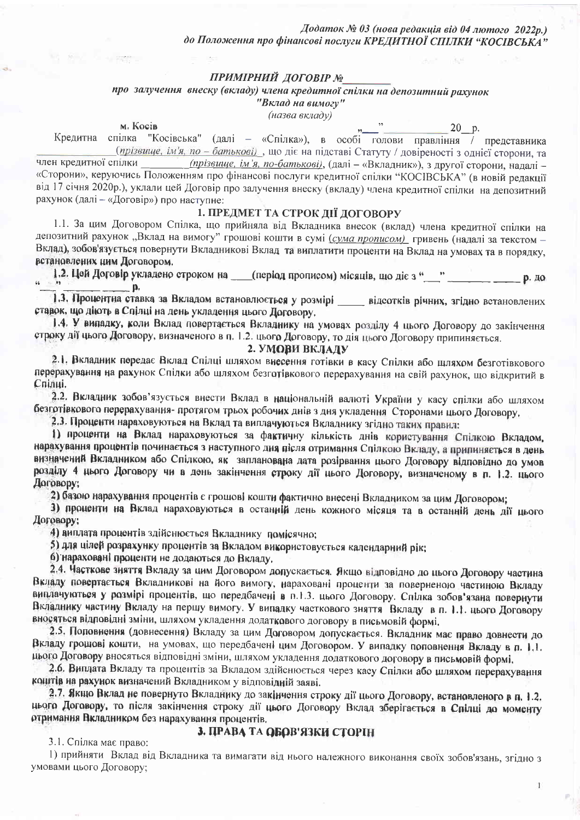Додаток № 03 (нова редакція від 04 лютого 2022р.) до Положення про фінансові послуги КРЕДИТНОЇ СПІЛКИ "КОСІВСЬКА"

## ПРИМІРНИЙ ДОГОВІР №

# про залучення внеску (вкладу) члена кредитної спілки на депозитний рахунок

"Вклад на вимогу" (назва вкладу)

м. Косів

 $,$  $-20$  p.

 $\mathbf{1}$ 

Кредитна спілка "Косівська" (далі - «Спілка»), в особі голови правління / представника (прізвище, ім'я, по - батькові), що діє на підставі Статуту / довіреності з однієї сторони, та член кредитної спілки (прізвище, ім'я, по-батькові), (далі - «Вкладник»), з другої сторони, надалі -«Сторони», керуючись Положенням про фінансові послуги кредитної спілки "КОСІВСЬКА" (в новій редакції від 17 січня 2020р.), уклали цей Договір про залучення внеску (вкладу) члена кредитної спілки на депозитний рахунок (далі - «Договір») про наступне:

# 1. ПРЕДМЕТ ТА СТРОК ДІЇ ДОГОВОРУ

1.1. За цим Договором Спілка, що прийняла від Вкладника внесок (вклад) члена кредитної спілки на депозитний рахунок "Вклад на вимогу" грошові кошти в сумі (сума прописом) гривень (надалі за текстом -Вклад), зобов'язується повернути Вкладникові Вклад та виплатити проценти на Вклад на умовах та в порядку, встановлених цим Договором.

1.2. Цей Договір укладено строком на \_\_\_(період прописом) місяців, що діє з "\_\_\_\_" \_\_\_\_\_\_\_\_\_ р. до  $\Box$  p.

1.3. Процентна ставка за Вкладом встановлюється у розмірі \_\_\_\_ відсотків річних, згідно встановлених ставок, що діють в Спілці на день укладення цього Договору.

1.4. У випадку, коли Вклад повертається Вкладнику на умовах розділу 4 цього Договору до закінчення строку дії цього Договору, визначеного в п. 1.2. цього Договору, то дія цього Договору припиняється.

## 2. УМОВИ ВКЛАДУ

2.1. Вкладник передає Вклад Спілці шляхом внесення готівки в касу Спілки або щляхом безготівкового перерахування на рахунок Спілки або шляхом безготівкового перерахування на свій рахунок, що відкритий в Спілці.

2.2. Вкладник зобов'язується внести Вклад в національній валюті України у касу спілки або шляхом безготівкового перерахування- протягом трьох робочих днів з дня укладення Сторонами цього Договору,

2.3. Проценти нараховуються на Вклад та виплачуються Вкладнику згідно таких правил:

1) проценти на Вклад нараховуються за фактичну кількість днів користування Спілкою Вкладом, нарахування процентів починається з наступного дня після отримання Спілкою Вкладу, а припиняється в день визначений Вкладником або Спілкою, як запланована дата розірвання цього Договору відповідно до умов розділу 4 цього Договору чи в день закінчення строку дії цього Договору, визначеному в п. 1.2. цього Договору:

2) базою нарахування процентів є грошові кошти фактично внесені Вкладником за цим Договором;

3) проценти на Вклад нараховуються в останній день кожного місяця та в останній день дії цього Договору:

4) виплата процентів здійснюється Вкладнику помісячно;

5) для цілей розрахунку процентів за Вкладом використовується календарний рік;

б) нараховані проценти не додаються до Вкладу.

2.4. Часткове зняття Вкладу за цим Договором допускається. Якщо відповідно до цього Договору частина Вкладу повертається Вкладникові на його вимогу, нараховані проценти за поверненою частиною Вкладу виплачуються у розмірі процентів, що передбачені в п.1.3. цього Договору. Спілка зобов'язана повернути Вкладнику частину Вкладу на першу вимогу. У випадку часткового зняття Вкладу в п. 1.1. цього Договору вносяться відповідні зміни, шляхом укладення додаткового договору в письмовій формі.

2.5. Поповнення (довнесення) Вкладу за цим Договором допускається. Вкладник має право довнести до Вкладу грошові кошти, на умовах, що передбачені цим Договором. У випадку поповнення Вкладу в п. 1.1. цього Договору вносяться відповідні зміни, шляхом укладення додаткового договору в письмовій формі.

2.6. Виплата Вкладу та процентів за Вкладом здійснюється через касу Спілки або шляхом перерахування коштів на рахунок визначений Вкладником у відповідній заяві.

2.7. Якщо Вклад не повернуто Вкладнику до закінчення строку дії цього Договору, встановленого в п. 1.2. цього Договору, то після закінчення строку дії цього Договору Вклад зберігається в Спілці до моменту отримання Вкладником без нарахування процентів.

# 3. ПРАВА ТА ОБОВ'ЯЗКИ СТОРІН

3.1. Спілка має право:

1) прийняти Вклад від Вкладника та вимагати від нього належного виконання своїх зобов'язань, згідно з умовами цього Договору;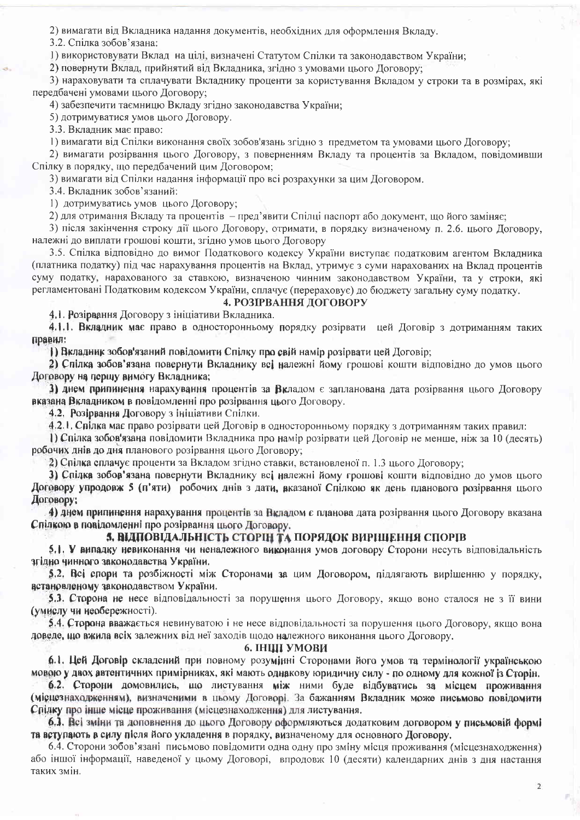2) вимагати від Вкладника надання документів, необхідних для оформлення Вкладу.

3.2. Спілка зобов'язана:

1) використовувати Вклад на цілі, визначені Статутом Спілки та законодавством України;

2) повернути Вклад, прийнятий від Вкладника, згідно з умовами цього Договору;

3) нараховувати та сплачувати Вкладнику проценти за користування Вкладом у строки та в розмірах, які передбачені умовами цього Договору;

4) забезпечити таємницю Вкладу згідно законодавства України;

5) дотримуватися умов цього Договору.

3.3. Вкладник має право:

1) вимагати від Спілки виконання своїх зобов'язань згідно з предметом та умовами цього Договору;

2) вимагати розірвання цього Договору, з поверненням Вкладу та процентів за Вкладом, повідомивши Спілку в порядку, що передбачений цим Договором:

3) вимагати від Спілки надання інформації про всі розрахунки за цим Договором.

3.4. Вкладник зобов'язаний:

1) дотримуватись умов цього Договору;

2) для отримання Вкладу та процентів - пред'явити Спілці паспорт або документ, що його заміняє;

3) після закінчення строку дії цього Договору, отримати, в порядку визначеному п. 2.6. цього Договору, належні до виплати грошові кошти, згідно умов цього Договору

3.5. Спілка відповідно до вимог Податкового кодексу України виступає податковим агентом Вкладника (платника податку) під час нарахування процентів на Вклад, утримує з суми нарахованих на Вклад процентів суму податку, нарахованого за ставкою, визначеною чинним законодавством України, та у строки, які регламентовані Податковим кодексом України, сплачує (перераховує) до бюджету загальну суму податку.

#### 4. РОЗІРВАННЯ ДОГОВОРУ

4.1. Розірвання Договору з ініціативи Вкладника.

4.1.1. Вкладник має право в односторонньому порядку розірвати цей Договір з дотриманням таких правил:

1) Вкладник зобов'язаний повідомити Спілку про свій намір розірвати цей Договір;

2) Спілка зобов'язана повернути Вкладнику всі належні йому грошові кошти відповідно до умов цього Договору на першу вимогу Вкладника;

3) днем припинення нарахування процентів за Вкладом є запланована дата розірвання цього Договору вказана Вкладником в повідомленні про розірвання цього Договору.

4.2. Розірвання Договору з ініціативи Спілки.

4.2.1. Спілка має право розірвати цей Договір в односторонньому порядку з дотриманням таких правил:

1) Спілка зобов'язана повідомити Вкладника про намір розірвати цей Договір не менше, ніж за 10 (десять) робочих днів до дня планового розірвання цього Договору;

2) Спілка сплачує проценти за Вкладом згідно ставки, встановленої п. 1.3 цього Договору;

3) Спілка зобов'язана повернути Вкладнику всі належні йому грошові кошти відповідно до умов цього Договору упродовж 5 (п'яти) робочих днів з дати, вказаної Спілкою як день планового розірвання цього Договору;

4) днем припинення нарахування процентів за Вкладом є планова дата розірвання цього Договору вказана Спілкою в повідомленні про розірвання цього Договору.

### 5. ВІДПОВІДАЛЬНІСТЬ СТОРІН ТА ПОРЯДОК ВИРІШЕННЯ СПОРІВ

5.1. У випадку невиконання чи неналежного виконання умов договору Сторони несуть відповідальність згідно чинного законодавства України.

5.2. Всі спори та розбіжності між Сторонами за цим Договором, підлягають вирішенню у порядку, встановленому законодавством України.

5.3. Сторона не несе відповідальності за порушення цього Договору, якщо воно сталося не з її вини (умислу чи необережності).

5.4. Сторона вважається невинуватою і не несе відповідальності за порушення цього Договору, якщо вона доведе, що вжила всіх залежних від неї заходів щодо належного виконання цього Договору.

## 6. ІНШІ УМОВИ

6.1. Цей Договір складений при повному розумінні Сторонами його умов та термінології українською мовою у двох автентичних примірниках, які мають однакову юридичну силу - по одному для кожної із Сторін.

6.2. Сторони домовились, що листування між ними буде відбуватись за місцем проживання (місцезнаходженням), визначеними в цьому Договорі. За бажанням Вкладник може письмово повідомити Спілку про інше місце проживання (місцезнаходження) для листування.

6.3. Всі зміни та доповнення до цього Договору оформляються додатковим договором у письмовій формі та вступають в силу після його укладення в порядку, визначеному для основного Договору,

6.4. Сторони зобов'язані письмово повідомити одна одну про зміну місця проживання (місцезнаходження) або іншої інформації, наведеної у цьому Договорі, впродовж 10 (десяти) календарних днів з дня настання таких змін.